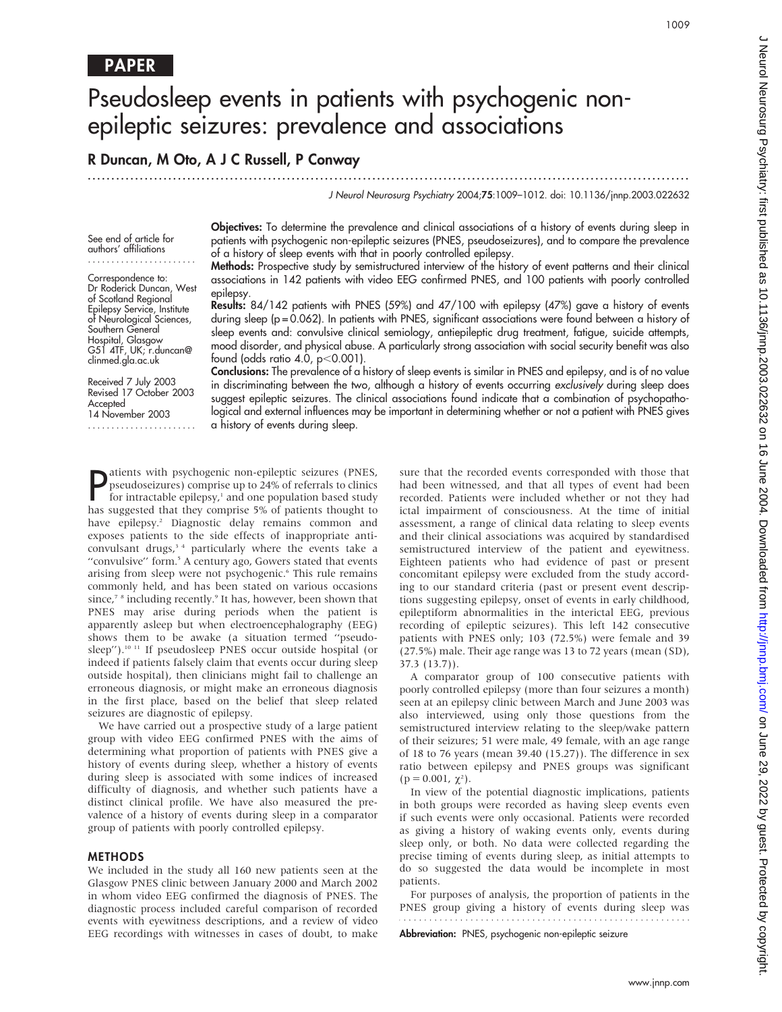# Pseudosleep events in patients with psychogenic nonepileptic seizures: prevalence and associations

# R Duncan, M Oto, A J C Russell, P Conway

...............................................................................................................................

J Neurol Neurosurg Psychiatry 2004;75:1009–1012. doi: 10.1136/jnnp.2003.022632

See end of article for authors' affiliations .......................

Correspondence to: Dr Roderick Duncan, West of Scotland Regional Epilepsy Service, Institute of Neurological Sciences, Southern General Hospital, Glasgow G51 4TF, UK; r.duncan@ clinmed.gla.ac.uk

Received 7 July 2003 Revised 17 October 2003 Accepted 14 November 2003

.......................

Objectives: To determine the prevalence and clinical associations of a history of events during sleep in patients with psychogenic non-epileptic seizures (PNES, pseudoseizures), and to compare the prevalence of a history of sleep events with that in poorly controlled epilepsy.

Methods: Prospective study by semistructured interview of the history of event patterns and their clinical associations in 142 patients with video EEG confirmed PNES, and 100 patients with poorly controlled epilepsy.

Results: 84/142 patients with PNES (59%) and 47/100 with epilepsy (47%) gave a history of events during sleep (p = 0.062). In patients with PNES, significant associations were found between a history of sleep events and: convulsive clinical semiology, antiepileptic drug treatment, fatigue, suicide attempts, mood disorder, and physical abuse. A particularly strong association with social security benefit was also found (odds ratio 4.0,  $p<0.001$ ).

Conclusions: The prevalence of a history of sleep events is similar in PNES and epilepsy, and is of no value in discriminating between the two, although a history of events occurring exclusively during sleep does suggest epileptic seizures. The clinical associations found indicate that a combination of psychopathological and external influences may be important in determining whether or not a patient with PNES gives a history of events during sleep.

**P** atients with psychogenic non-epileptic seizures (PNES,<br>pseudoseizures) comprise up to 24% of referrals to clinics<br>for intractable epilepsy,<sup>1</sup> and one population based study<br>has suggested that they comprise 5% of patie pseudoseizures) comprise up to 24% of referrals to clinics for intractable epilepsy,<sup>1</sup> and one population based study has suggested that they comprise 5% of patients thought to have epilepsy.<sup>2</sup> Diagnostic delay remains common and exposes patients to the side effects of inappropriate anticonvulsant drugs,<sup>34</sup> particularly where the events take a "convulsive" form.<sup>5</sup> A century ago, Gowers stated that events arising from sleep were not psychogenic.<sup>6</sup> This rule remains commonly held, and has been stated on various occasions since,<sup>7</sup> <sup>8</sup> including recently.<sup>9</sup> It has, however, been shown that PNES may arise during periods when the patient is apparently asleep but when electroencephalography (EEG) shows them to be awake (a situation termed ''pseudosleep'').<sup>10 11</sup> If pseudosleep PNES occur outside hospital (or indeed if patients falsely claim that events occur during sleep outside hospital), then clinicians might fail to challenge an erroneous diagnosis, or might make an erroneous diagnosis in the first place, based on the belief that sleep related seizures are diagnostic of epilepsy.

We have carried out a prospective study of a large patient group with video EEG confirmed PNES with the aims of determining what proportion of patients with PNES give a history of events during sleep, whether a history of events during sleep is associated with some indices of increased difficulty of diagnosis, and whether such patients have a distinct clinical profile. We have also measured the prevalence of a history of events during sleep in a comparator group of patients with poorly controlled epilepsy.

#### METHODS

We included in the study all 160 new patients seen at the Glasgow PNES clinic between January 2000 and March 2002 in whom video EEG confirmed the diagnosis of PNES. The diagnostic process included careful comparison of recorded events with eyewitness descriptions, and a review of video EEG recordings with witnesses in cases of doubt, to make sure that the recorded events corresponded with those that had been witnessed, and that all types of event had been recorded. Patients were included whether or not they had ictal impairment of consciousness. At the time of initial assessment, a range of clinical data relating to sleep events and their clinical associations was acquired by standardised semistructured interview of the patient and eyewitness. Eighteen patients who had evidence of past or present concomitant epilepsy were excluded from the study according to our standard criteria (past or present event descriptions suggesting epilepsy, onset of events in early childhood, epileptiform abnormalities in the interictal EEG, previous recording of epileptic seizures). This left 142 consecutive patients with PNES only; 103 (72.5%) were female and 39 (27.5%) male. Their age range was 13 to 72 years (mean (SD), 37.3 (13.7)).

A comparator group of 100 consecutive patients with poorly controlled epilepsy (more than four seizures a month) seen at an epilepsy clinic between March and June 2003 was also interviewed, using only those questions from the semistructured interview relating to the sleep/wake pattern of their seizures; 51 were male, 49 female, with an age range of 18 to 76 years (mean 39.40 (15.27)). The difference in sex ratio between epilepsy and PNES groups was significant  $(p = 0.001, \chi^2)$ .

In view of the potential diagnostic implications, patients in both groups were recorded as having sleep events even if such events were only occasional. Patients were recorded as giving a history of waking events only, events during sleep only, or both. No data were collected regarding the precise timing of events during sleep, as initial attempts to do so suggested the data would be incomplete in most patients.

For purposes of analysis, the proportion of patients in the PNES group giving a history of events during sleep was 

Abbreviation: PNES, psychogenic non-epileptic seizure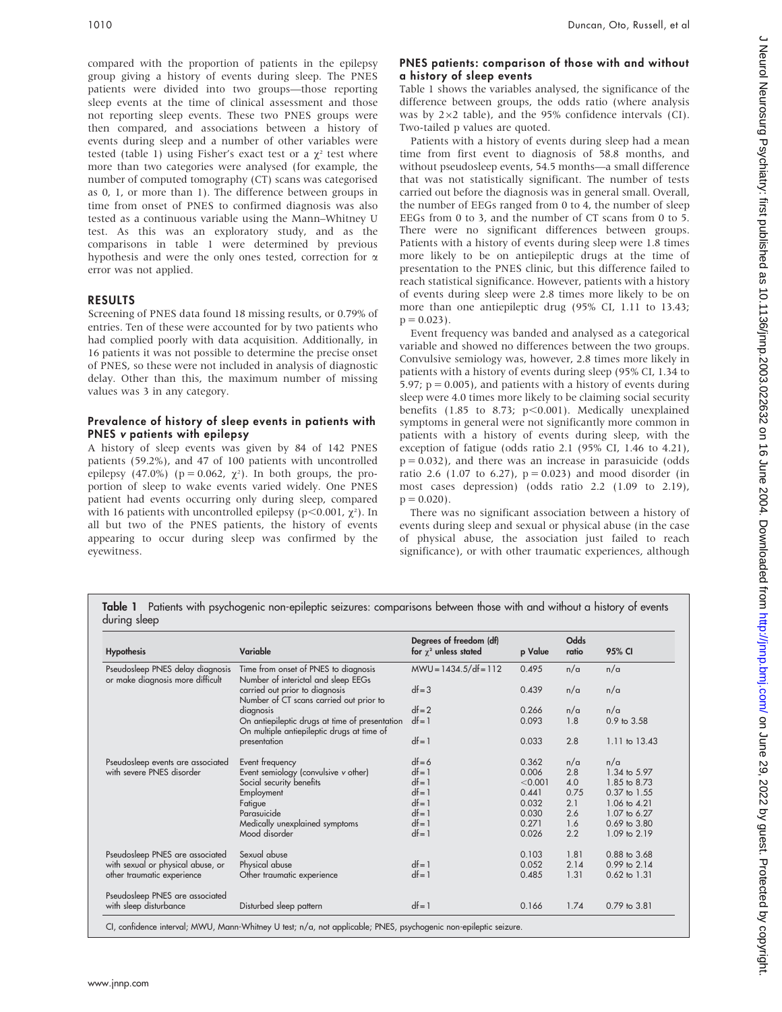compared with the proportion of patients in the epilepsy group giving a history of events during sleep. The PNES patients were divided into two groups—those reporting sleep events at the time of clinical assessment and those not reporting sleep events. These two PNES groups were then compared, and associations between a history of events during sleep and a number of other variables were tested (table 1) using Fisher's exact test or a  $\chi^2$  test where more than two categories were analysed (for example, the number of computed tomography (CT) scans was categorised as 0, 1, or more than 1). The difference between groups in time from onset of PNES to confirmed diagnosis was also tested as a continuous variable using the Mann–Whitney U test. As this was an exploratory study, and as the comparisons in table 1 were determined by previous hypothesis and were the only ones tested, correction for  $\alpha$ error was not applied.

### RESULTS

Screening of PNES data found 18 missing results, or 0.79% of entries. Ten of these were accounted for by two patients who had complied poorly with data acquisition. Additionally, in 16 patients it was not possible to determine the precise onset of PNES, so these were not included in analysis of diagnostic delay. Other than this, the maximum number of missing values was 3 in any category.

#### Prevalence of history of sleep events in patients with PNES v patients with epilepsy

A history of sleep events was given by 84 of 142 PNES patients (59.2%), and 47 of 100 patients with uncontrolled epilepsy (47.0%) ( $p = 0.062$ ,  $\chi^2$ ). In both groups, the proportion of sleep to wake events varied widely. One PNES patient had events occurring only during sleep, compared with 16 patients with uncontrolled epilepsy ( $p$ <0.001,  $\chi^2$ ). In all but two of the PNES patients, the history of events appearing to occur during sleep was confirmed by the eyewitness.

## PNES patients: comparison of those with and without a history of sleep events

Table 1 shows the variables analysed, the significance of the difference between groups, the odds ratio (where analysis was by  $2\times2$  table), and the 95% confidence intervals (CI). Two-tailed p values are quoted.

Patients with a history of events during sleep had a mean time from first event to diagnosis of 58.8 months, and without pseudosleep events, 54.5 months—a small difference that was not statistically significant. The number of tests carried out before the diagnosis was in general small. Overall, the number of EEGs ranged from 0 to 4, the number of sleep EEGs from 0 to 3, and the number of CT scans from 0 to 5. There were no significant differences between groups. Patients with a history of events during sleep were 1.8 times more likely to be on antiepileptic drugs at the time of presentation to the PNES clinic, but this difference failed to reach statistical significance. However, patients with a history of events during sleep were 2.8 times more likely to be on more than one antiepileptic drug (95% CI, 1.11 to 13.43;  $p = 0.023$ .

Event frequency was banded and analysed as a categorical variable and showed no differences between the two groups. Convulsive semiology was, however, 2.8 times more likely in patients with a history of events during sleep (95% CI, 1.34 to 5.97;  $p = 0.005$ ), and patients with a history of events during sleep were 4.0 times more likely to be claiming social security benefits (1.85 to 8.73;  $p<0.001$ ). Medically unexplained symptoms in general were not significantly more common in patients with a history of events during sleep, with the exception of fatigue (odds ratio 2.1 (95% CI, 1.46 to 4.21),  $p = 0.032$ ), and there was an increase in parasuicide (odds ratio 2.6 (1.07 to 6.27),  $p = 0.023$ ) and mood disorder (in most cases depression) (odds ratio 2.2 (1.09 to 2.19),  $p = 0.020$ ).

There was no significant association between a history of events during sleep and sexual or physical abuse (in the case of physical abuse, the association just failed to reach significance), or with other traumatic experiences, although

Table 1 Patients with psychogenic non-epileptic seizures: comparisons between those with and without a history of events during sleep

| <b>Hypothesis</b>                                                    | Variable                                                                                     | Degrees of freedom (df)<br>for $\chi^2$ unless stated | p Value | <b>Odds</b><br>ratio | 95% CI                  |
|----------------------------------------------------------------------|----------------------------------------------------------------------------------------------|-------------------------------------------------------|---------|----------------------|-------------------------|
| Pseudosleep PNES delay diagnosis<br>or make diagnosis more difficult | Time from onset of PNES to diagnosis<br>Number of interictal and sleep EEGs                  | $MWU = 1434.5/df = 112$                               | 0.495   | n/a                  | n/a                     |
|                                                                      | carried out prior to diagnosis<br>Number of CT scans carried out prior to                    | $df = 3$                                              | 0.439   | n/a                  | n/a                     |
|                                                                      | diagnosis                                                                                    | $df = 2$                                              | 0.266   | n/a                  | n/a                     |
|                                                                      | On antiepileptic drugs at time of presentation<br>On multiple antiepileptic drugs at time of | $df = 1$                                              | 0.093   | 1.8                  | 0.9 to 3.58             |
|                                                                      | presentation                                                                                 | $df = 1$                                              | 0.033   | 2.8                  | 1.11 to 13.43           |
| Pseudosleep events are associated<br>with severe PNES disorder       | Event frequency                                                                              | $df = 6$                                              | 0.362   | n/a                  | n/a                     |
|                                                                      | Event semiology (convulsive v other)                                                         | $df = 1$                                              | 0.006   | 2.8                  | 1.34 to 5.97            |
|                                                                      | Social security benefits                                                                     | $df = 1$                                              | < 0.001 | 4.0                  | 1.85 to 8.73            |
|                                                                      | Employment                                                                                   | $df = 1$                                              | 0.441   | 0.75                 | 0.37 to 1.55            |
|                                                                      | Fatigue                                                                                      | $df = 1$                                              | 0.032   | 2.1                  | 1.06 to 4.21            |
|                                                                      | Parasuicide                                                                                  | $df = 1$                                              | 0.030   | 2.6                  | 1.07 to 6.27            |
|                                                                      | Medically unexplained symptoms                                                               | $df = 1$                                              | 0.271   | 1.6                  | 0.69 to 3.80            |
|                                                                      | Mood disorder                                                                                | $df = 1$                                              | 0.026   | 2.2                  | 1.09 to 2.19            |
| Pseudosleep PNES are associated                                      | Sexual abuse                                                                                 |                                                       | 0.103   | 1.81                 | 0.88 to 3.68            |
| with sexual or physical abuse, or<br>other traumatic experience      | Physical abuse                                                                               | $df = 1$                                              | 0.052   | 2.14                 | 0.99 to 2.14            |
|                                                                      | Other traumatic experience                                                                   | $df = 1$                                              | 0.485   | 1.31                 | $0.62 \text{ to } 1.31$ |
| Pseudosleep PNES are associated                                      |                                                                                              |                                                       |         |                      |                         |
| with sleep disturbance                                               | Disturbed sleep pattern                                                                      | $df = 1$                                              | 0.166   | 1.74                 | 0.79 to 3.81            |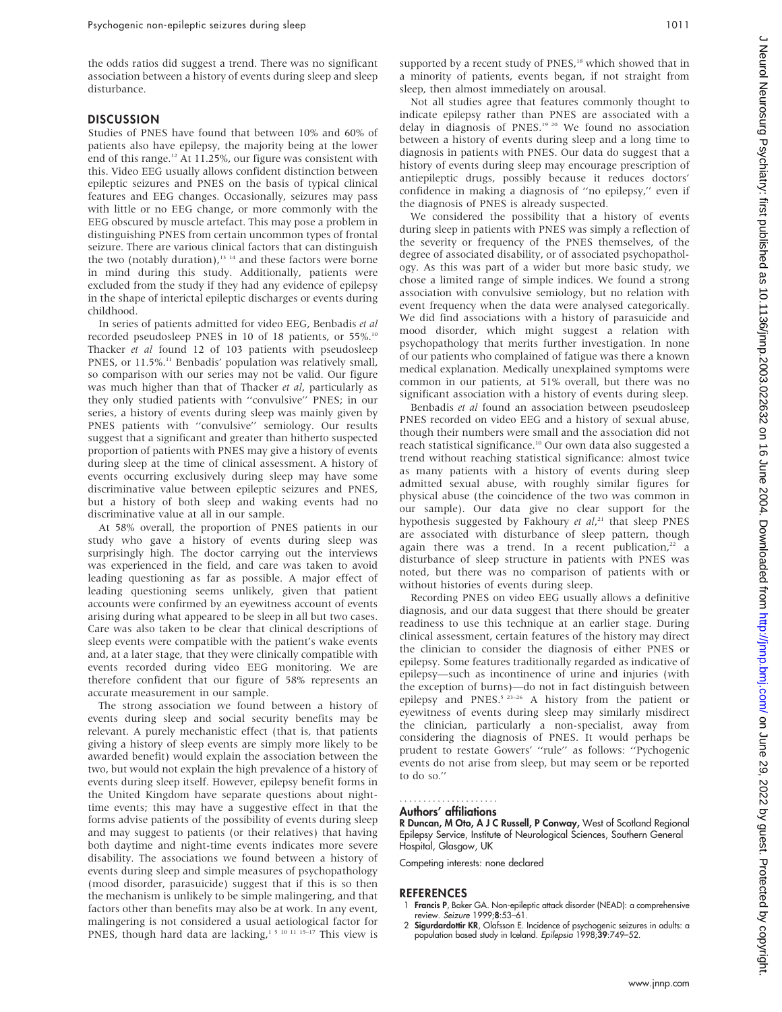the odds ratios did suggest a trend. There was no significant association between a history of events during sleep and sleep disturbance.

### **DISCUSSION**

Studies of PNES have found that between 10% and 60% of patients also have epilepsy, the majority being at the lower end of this range.<sup>12</sup> At 11.25%, our figure was consistent with this. Video EEG usually allows confident distinction between epileptic seizures and PNES on the basis of typical clinical features and EEG changes. Occasionally, seizures may pass with little or no EEG change, or more commonly with the EEG obscured by muscle artefact. This may pose a problem in distinguishing PNES from certain uncommon types of frontal seizure. There are various clinical factors that can distinguish the two (notably duration),<sup>13-14</sup> and these factors were borne in mind during this study. Additionally, patients were excluded from the study if they had any evidence of epilepsy in the shape of interictal epileptic discharges or events during childhood.

In series of patients admitted for video EEG, Benbadis et al recorded pseudosleep PNES in 10 of 18 patients, or 55%.<sup>10</sup> Thacker et al found 12 of 103 patients with pseudosleep PNES, or 11.5%.<sup>11</sup> Benbadis' population was relatively small, so comparison with our series may not be valid. Our figure was much higher than that of Thacker et al, particularly as they only studied patients with ''convulsive'' PNES; in our series, a history of events during sleep was mainly given by PNES patients with ''convulsive'' semiology. Our results suggest that a significant and greater than hitherto suspected proportion of patients with PNES may give a history of events during sleep at the time of clinical assessment. A history of events occurring exclusively during sleep may have some discriminative value between epileptic seizures and PNES, but a history of both sleep and waking events had no discriminative value at all in our sample.

At 58% overall, the proportion of PNES patients in our study who gave a history of events during sleep was surprisingly high. The doctor carrying out the interviews was experienced in the field, and care was taken to avoid leading questioning as far as possible. A major effect of leading questioning seems unlikely, given that patient accounts were confirmed by an eyewitness account of events arising during what appeared to be sleep in all but two cases. Care was also taken to be clear that clinical descriptions of sleep events were compatible with the patient's wake events and, at a later stage, that they were clinically compatible with events recorded during video EEG monitoring. We are therefore confident that our figure of 58% represents an accurate measurement in our sample.

The strong association we found between a history of events during sleep and social security benefits may be relevant. A purely mechanistic effect (that is, that patients giving a history of sleep events are simply more likely to be awarded benefit) would explain the association between the two, but would not explain the high prevalence of a history of events during sleep itself. However, epilepsy benefit forms in the United Kingdom have separate questions about nighttime events; this may have a suggestive effect in that the forms advise patients of the possibility of events during sleep and may suggest to patients (or their relatives) that having both daytime and night-time events indicates more severe disability. The associations we found between a history of events during sleep and simple measures of psychopathology (mood disorder, parasuicide) suggest that if this is so then the mechanism is unlikely to be simple malingering, and that factors other than benefits may also be at work. In any event, malingering is not considered a usual aetiological factor for PNES, though hard data are lacking,<sup>1 5 10 11 15-17</sup> This view is

supported by a recent study of PNES,<sup>18</sup> which showed that in a minority of patients, events began, if not straight from sleep, then almost immediately on arousal.

Not all studies agree that features commonly thought to indicate epilepsy rather than PNES are associated with a delay in diagnosis of PNES.19 20 We found no association between a history of events during sleep and a long time to diagnosis in patients with PNES. Our data do suggest that a history of events during sleep may encourage prescription of antiepileptic drugs, possibly because it reduces doctors' confidence in making a diagnosis of ''no epilepsy,'' even if the diagnosis of PNES is already suspected.

We considered the possibility that a history of events during sleep in patients with PNES was simply a reflection of the severity or frequency of the PNES themselves, of the degree of associated disability, or of associated psychopathology. As this was part of a wider but more basic study, we chose a limited range of simple indices. We found a strong association with convulsive semiology, but no relation with event frequency when the data were analysed categorically. We did find associations with a history of parasuicide and mood disorder, which might suggest a relation with psychopathology that merits further investigation. In none of our patients who complained of fatigue was there a known medical explanation. Medically unexplained symptoms were common in our patients, at 51% overall, but there was no significant association with a history of events during sleep.

Benbadis et al found an association between pseudosleep PNES recorded on video EEG and a history of sexual abuse, though their numbers were small and the association did not reach statistical significance.10 Our own data also suggested a trend without reaching statistical significance: almost twice as many patients with a history of events during sleep admitted sexual abuse, with roughly similar figures for physical abuse (the coincidence of the two was common in our sample). Our data give no clear support for the hypothesis suggested by Fakhoury et al,<sup>21</sup> that sleep PNES are associated with disturbance of sleep pattern, though again there was a trend. In a recent publication, $22$  a disturbance of sleep structure in patients with PNES was noted, but there was no comparison of patients with or without histories of events during sleep.

Recording PNES on video EEG usually allows a definitive diagnosis, and our data suggest that there should be greater readiness to use this technique at an earlier stage. During clinical assessment, certain features of the history may direct the clinician to consider the diagnosis of either PNES or epilepsy. Some features traditionally regarded as indicative of epilepsy—such as incontinence of urine and injuries (with the exception of burns)—do not in fact distinguish between epilepsy and PNES.<sup>5 23-26</sup> A history from the patient or eyewitness of events during sleep may similarly misdirect the clinician, particularly a non-specialist, away from considering the diagnosis of PNES. It would perhaps be prudent to restate Gowers' ''rule'' as follows: ''Pychogenic events do not arise from sleep, but may seem or be reported to do so.''

#### Authors' affiliations .....................

R Duncan, M Oto, A J C Russell, P Conway, West of Scotland Regional Epilepsy Service, Institute of Neurological Sciences, Southern General Hospital, Glasgow, UK

Competing interests: none declared

#### REFERENCES

- Francis P, Baker GA. Non-epileptic attack disorder (NEAD): a comprehensive review. Seizure 1999;8:53–61.
- 2 Sigurdardottir KR, Olafsson E. Incidence of psychogenic seizures in adults: a population based study in Iceland. Epilepsia 1998;39:749–52.